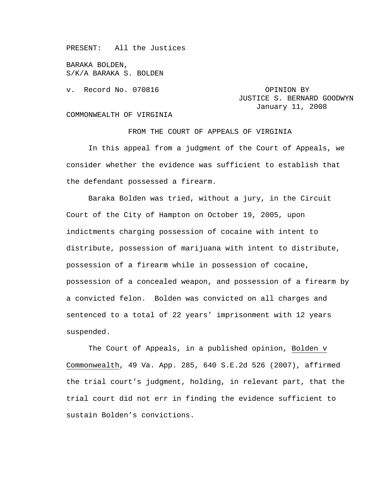PRESENT: All the Justices

BARAKA BOLDEN, S/K/A BARAKA S. BOLDEN

v. Record No. 070816 **CAUCA CONSTRANGE OPINION BY** 

JUSTICE S. BERNARD GOODWYN January 11, 2008

## COMMONWEALTH OF VIRGINIA

FROM THE COURT OF APPEALS OF VIRGINIA

 In this appeal from a judgment of the Court of Appeals, we consider whether the evidence was sufficient to establish that the defendant possessed a firearm.

 Baraka Bolden was tried, without a jury, in the Circuit Court of the City of Hampton on October 19, 2005, upon indictments charging possession of cocaine with intent to distribute, possession of marijuana with intent to distribute, possession of a firearm while in possession of cocaine, possession of a concealed weapon, and possession of a firearm by a convicted felon. Bolden was convicted on all charges and sentenced to a total of 22 years' imprisonment with 12 years suspended.

The Court of Appeals, in a published opinion, Bolden v Commonwealth, 49 Va. App. 285, 640 S.E.2d 526 (2007), affirmed the trial court's judgment, holding, in relevant part, that the trial court did not err in finding the evidence sufficient to sustain Bolden's convictions.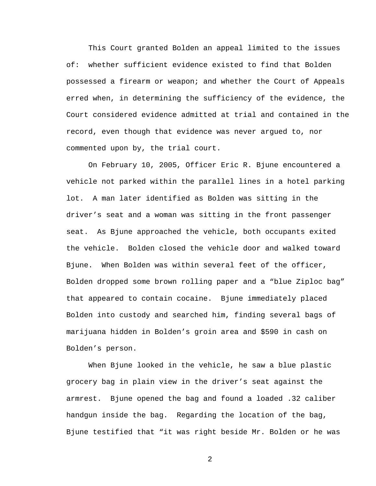This Court granted Bolden an appeal limited to the issues of: whether sufficient evidence existed to find that Bolden possessed a firearm or weapon; and whether the Court of Appeals erred when, in determining the sufficiency of the evidence, the Court considered evidence admitted at trial and contained in the record, even though that evidence was never argued to, nor commented upon by, the trial court.

 On February 10, 2005, Officer Eric R. Bjune encountered a vehicle not parked within the parallel lines in a hotel parking lot. A man later identified as Bolden was sitting in the driver's seat and a woman was sitting in the front passenger seat. As Bjune approached the vehicle, both occupants exited the vehicle. Bolden closed the vehicle door and walked toward Bjune. When Bolden was within several feet of the officer, Bolden dropped some brown rolling paper and a "blue Ziploc bag" that appeared to contain cocaine. Bjune immediately placed Bolden into custody and searched him, finding several bags of marijuana hidden in Bolden's groin area and \$590 in cash on Bolden's person.

When Bjune looked in the vehicle, he saw a blue plastic grocery bag in plain view in the driver's seat against the armrest. Bjune opened the bag and found a loaded .32 caliber handgun inside the bag. Regarding the location of the bag, Bjune testified that "it was right beside Mr. Bolden or he was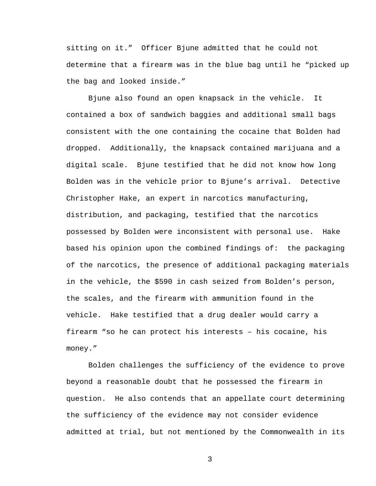sitting on it." Officer Bjune admitted that he could not determine that a firearm was in the blue bag until he "picked up the bag and looked inside."

Bjune also found an open knapsack in the vehicle. It contained a box of sandwich baggies and additional small bags consistent with the one containing the cocaine that Bolden had dropped. Additionally, the knapsack contained marijuana and a digital scale. Bjune testified that he did not know how long Bolden was in the vehicle prior to Bjune's arrival. Detective Christopher Hake, an expert in narcotics manufacturing, distribution, and packaging, testified that the narcotics possessed by Bolden were inconsistent with personal use. Hake based his opinion upon the combined findings of: the packaging of the narcotics, the presence of additional packaging materials in the vehicle, the \$590 in cash seized from Bolden's person, the scales, and the firearm with ammunition found in the vehicle. Hake testified that a drug dealer would carry a firearm "so he can protect his interests – his cocaine, his money."

 Bolden challenges the sufficiency of the evidence to prove beyond a reasonable doubt that he possessed the firearm in question. He also contends that an appellate court determining the sufficiency of the evidence may not consider evidence admitted at trial, but not mentioned by the Commonwealth in its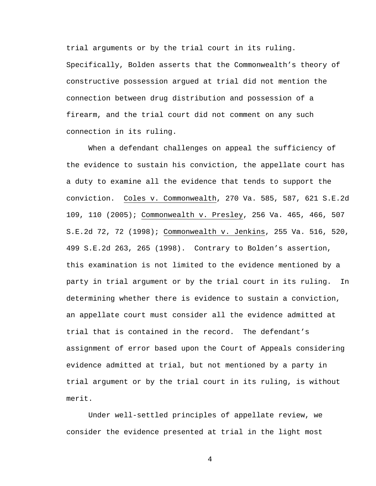trial arguments or by the trial court in its ruling. Specifically, Bolden asserts that the Commonwealth's theory of constructive possession argued at trial did not mention the connection between drug distribution and possession of a firearm, and the trial court did not comment on any such connection in its ruling.

 When a defendant challenges on appeal the sufficiency of the evidence to sustain his conviction, the appellate court has a duty to examine all the evidence that tends to support the conviction. Coles v. Commonwealth, 270 Va. 585, 587, 621 S.E.2d 109, 110 (2005); Commonwealth v. Presley, 256 Va. 465, 466, 507 S.E.2d 72, 72 (1998); Commonwealth v. Jenkins, 255 Va. 516, 520, 499 S.E.2d 263, 265 (1998). Contrary to Bolden's assertion, this examination is not limited to the evidence mentioned by a party in trial argument or by the trial court in its ruling. In determining whether there is evidence to sustain a conviction, an appellate court must consider all the evidence admitted at trial that is contained in the record. The defendant's assignment of error based upon the Court of Appeals considering evidence admitted at trial, but not mentioned by a party in trial argument or by the trial court in its ruling, is without merit.

 Under well-settled principles of appellate review, we consider the evidence presented at trial in the light most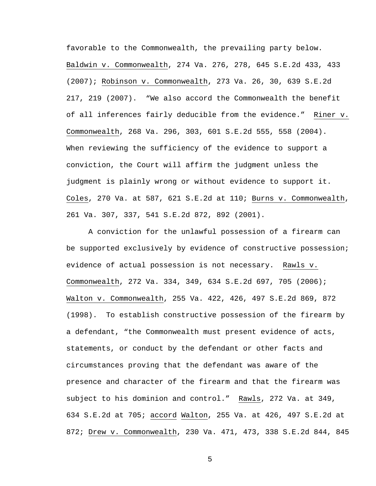favorable to the Commonwealth, the prevailing party below. Baldwin v. Commonwealth, 274 Va. 276, 278, 645 S.E.2d 433, 433 (2007); Robinson v. Commonwealth, 273 Va. 26, 30, 639 S.E.2d 217, 219 (2007). "We also accord the Commonwealth the benefit of all inferences fairly deducible from the evidence." Riner v. Commonwealth, 268 Va. 296, 303, 601 S.E.2d 555, 558 (2004). When reviewing the sufficiency of the evidence to support a conviction, the Court will affirm the judgment unless the judgment is plainly wrong or without evidence to support it. Coles, 270 Va. at 587, 621 S.E.2d at 110; Burns v. Commonwealth, 261 Va. 307, 337, 541 S.E.2d 872, 892 (2001).

 A conviction for the unlawful possession of a firearm can be supported exclusively by evidence of constructive possession; evidence of actual possession is not necessary. Rawls v. Commonwealth, 272 Va. 334, 349, 634 S.E.2d 697, 705 (2006); Walton v. Commonwealth, 255 Va. 422, 426, 497 S.E.2d 869, 872 (1998). To establish constructive possession of the firearm by a defendant, "the Commonwealth must present evidence of acts, statements, or conduct by the defendant or other facts and circumstances proving that the defendant was aware of the presence and character of the firearm and that the firearm was subject to his dominion and control." Rawls, 272 Va. at 349, 634 S.E.2d at 705; accord Walton, 255 Va. at 426, 497 S.E.2d at 872; Drew v. Commonwealth, 230 Va. 471, 473, 338 S.E.2d 844, 845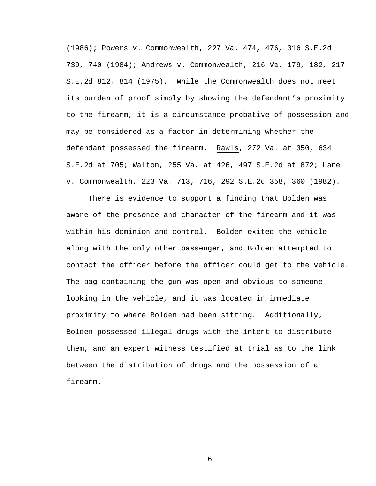(1986); Powers v. Commonwealth, 227 Va. 474, 476, 316 S.E.2d 739, 740 (1984); Andrews v. Commonwealth, 216 Va. 179, 182, 217 S.E.2d 812, 814 (1975). While the Commonwealth does not meet its burden of proof simply by showing the defendant's proximity to the firearm, it is a circumstance probative of possession and may be considered as a factor in determining whether the defendant possessed the firearm. Rawls, 272 Va. at 350, 634 S.E.2d at 705; Walton, 255 Va. at 426, 497 S.E.2d at 872; Lane v. Commonwealth, 223 Va. 713, 716, 292 S.E.2d 358, 360 (1982).

 There is evidence to support a finding that Bolden was aware of the presence and character of the firearm and it was within his dominion and control. Bolden exited the vehicle along with the only other passenger, and Bolden attempted to contact the officer before the officer could get to the vehicle. The bag containing the gun was open and obvious to someone looking in the vehicle, and it was located in immediate proximity to where Bolden had been sitting. Additionally, Bolden possessed illegal drugs with the intent to distribute them, and an expert witness testified at trial as to the link between the distribution of drugs and the possession of a firearm.